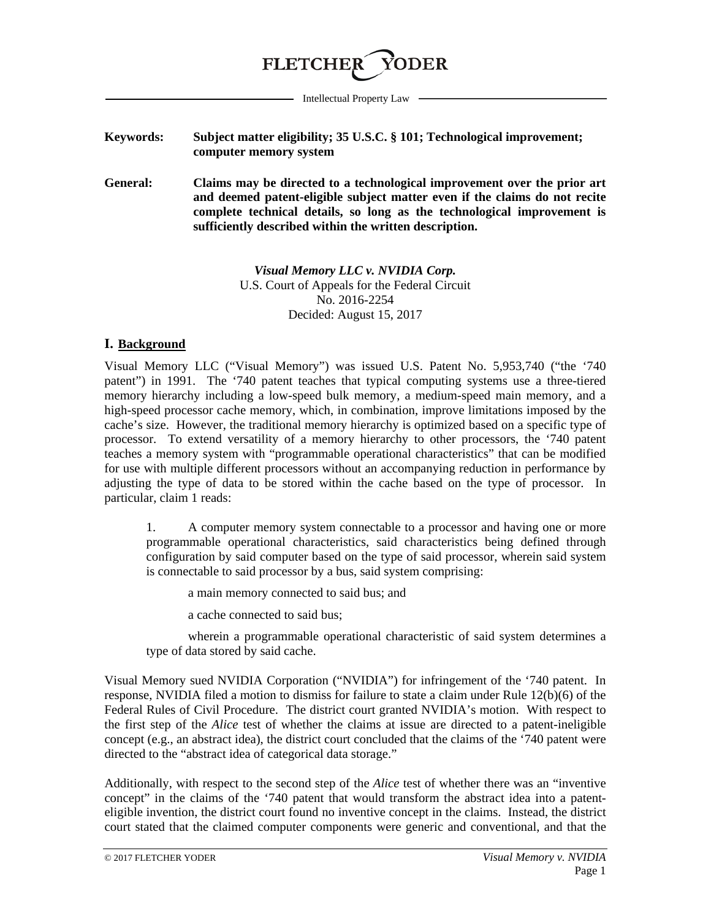

Intellectual Property Law

- **Keywords: Subject matter eligibility; 35 U.S.C. § 101; Technological improvement; computer memory system**
- **General: Claims may be directed to a technological improvement over the prior art and deemed patent-eligible subject matter even if the claims do not recite complete technical details, so long as the technological improvement is sufficiently described within the written description.**

*Visual Memory LLC v. NVIDIA Corp.* U.S. Court of Appeals for the Federal Circuit No. 2016-2254 Decided: August 15, 2017

## **I. Background**

Visual Memory LLC ("Visual Memory") was issued U.S. Patent No. 5,953,740 ("the '740 patent") in 1991. The '740 patent teaches that typical computing systems use a three-tiered memory hierarchy including a low-speed bulk memory, a medium-speed main memory, and a high-speed processor cache memory, which, in combination, improve limitations imposed by the cache's size. However, the traditional memory hierarchy is optimized based on a specific type of processor. To extend versatility of a memory hierarchy to other processors, the '740 patent teaches a memory system with "programmable operational characteristics" that can be modified for use with multiple different processors without an accompanying reduction in performance by adjusting the type of data to be stored within the cache based on the type of processor. In particular, claim 1 reads:

1. A computer memory system connectable to a processor and having one or more programmable operational characteristics, said characteristics being defined through configuration by said computer based on the type of said processor, wherein said system is connectable to said processor by a bus, said system comprising:

a main memory connected to said bus; and

a cache connected to said bus;

wherein a programmable operational characteristic of said system determines a type of data stored by said cache.

Visual Memory sued NVIDIA Corporation ("NVIDIA") for infringement of the '740 patent. In response, NVIDIA filed a motion to dismiss for failure to state a claim under Rule 12(b)(6) of the Federal Rules of Civil Procedure. The district court granted NVIDIA's motion. With respect to the first step of the *Alice* test of whether the claims at issue are directed to a patent-ineligible concept (e.g., an abstract idea), the district court concluded that the claims of the '740 patent were directed to the "abstract idea of categorical data storage."

Additionally, with respect to the second step of the *Alice* test of whether there was an "inventive concept" in the claims of the '740 patent that would transform the abstract idea into a patenteligible invention, the district court found no inventive concept in the claims. Instead, the district court stated that the claimed computer components were generic and conventional, and that the